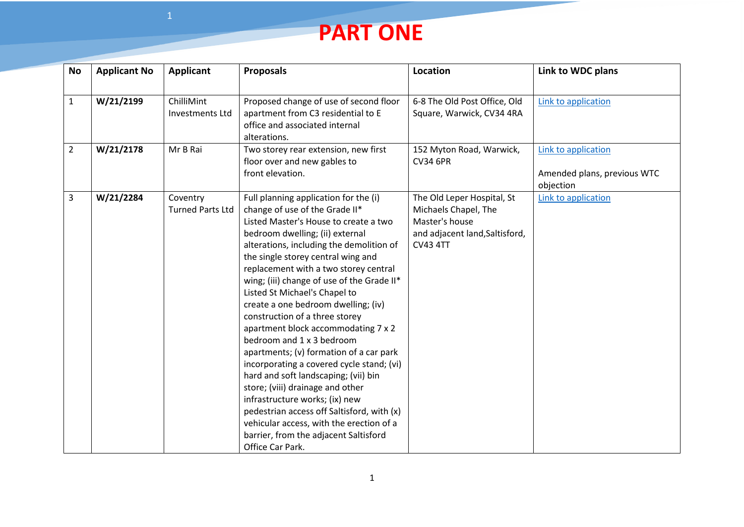## **PART ONE**

| <b>No</b>      | <b>Applicant No</b> | Applicant                            | <b>Proposals</b>                                                                                                                                                                                                                                                                                                                                                                                                                                                                                                                                                                                                                                                                                                                                                                                                                                                        | <b>Location</b>                                                                                                           | Link to WDC plans                                               |
|----------------|---------------------|--------------------------------------|-------------------------------------------------------------------------------------------------------------------------------------------------------------------------------------------------------------------------------------------------------------------------------------------------------------------------------------------------------------------------------------------------------------------------------------------------------------------------------------------------------------------------------------------------------------------------------------------------------------------------------------------------------------------------------------------------------------------------------------------------------------------------------------------------------------------------------------------------------------------------|---------------------------------------------------------------------------------------------------------------------------|-----------------------------------------------------------------|
| $\mathbf{1}$   | W/21/2199           | ChilliMint<br><b>Investments Ltd</b> | Proposed change of use of second floor<br>apartment from C3 residential to E<br>office and associated internal<br>alterations.                                                                                                                                                                                                                                                                                                                                                                                                                                                                                                                                                                                                                                                                                                                                          | 6-8 The Old Post Office, Old<br>Square, Warwick, CV34 4RA                                                                 | Link to application                                             |
| $\overline{2}$ | W/21/2178           | Mr B Rai                             | Two storey rear extension, new first<br>floor over and new gables to<br>front elevation.                                                                                                                                                                                                                                                                                                                                                                                                                                                                                                                                                                                                                                                                                                                                                                                | 152 Myton Road, Warwick,<br><b>CV34 6PR</b>                                                                               | Link to application<br>Amended plans, previous WTC<br>objection |
| 3              | W/21/2284           | Coventry<br><b>Turned Parts Ltd</b>  | Full planning application for the (i)<br>change of use of the Grade II*<br>Listed Master's House to create a two<br>bedroom dwelling; (ii) external<br>alterations, including the demolition of<br>the single storey central wing and<br>replacement with a two storey central<br>wing; (iii) change of use of the Grade II*<br>Listed St Michael's Chapel to<br>create a one bedroom dwelling; (iv)<br>construction of a three storey<br>apartment block accommodating 7 x 2<br>bedroom and 1 x 3 bedroom<br>apartments; (v) formation of a car park<br>incorporating a covered cycle stand; (vi)<br>hard and soft landscaping; (vii) bin<br>store; (viii) drainage and other<br>infrastructure works; (ix) new<br>pedestrian access off Saltisford, with (x)<br>vehicular access, with the erection of a<br>barrier, from the adjacent Saltisford<br>Office Car Park. | The Old Leper Hospital, St<br>Michaels Chapel, The<br>Master's house<br>and adjacent land, Saltisford,<br><b>CV43 4TT</b> | Link to application                                             |